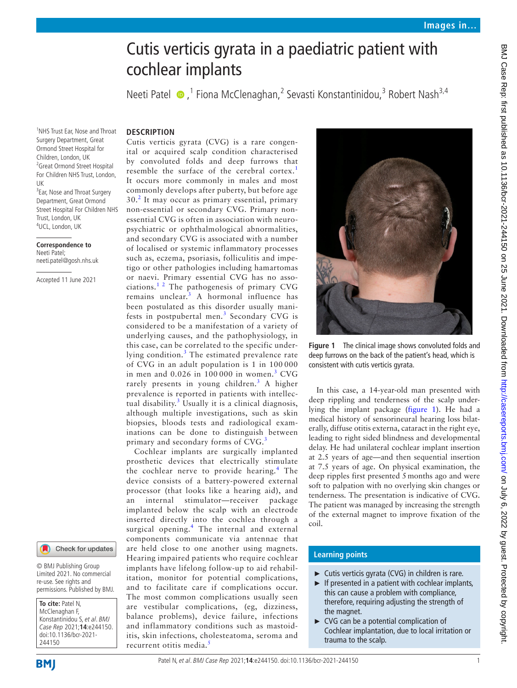# Cutis verticis gyrata in a paediatric patient with cochlear implants

Neeti Patel  $\bullet$ , <sup>1</sup> Fiona McClenaghan, 2 Sevasti Konstantinidou, <sup>3</sup> Robert Nash<sup>3,4</sup>

#### **Description**

1 NHS Trust Ear, Nose and Throat Surgery Department, Great Ormond Street Hospital for Children, London, UK <sup>2</sup> Great Ormond Street Hospital For Children NHS Trust, London, UK

<sup>3</sup> Ear, Nose and Throat Surgery Department, Great Ormond Street Hospital For Children NHS Trust, London, UK 4 UCL, London, UK

**Correspondence to** Neeti Patel; neeti.patel@gosh.nhs.uk

Accepted 11 June 2021



© BMJ Publishing Group Limited 2021. No commercial re-use. See rights and permissions. Published by BMJ.

**To cite:** Patel N, McClenaghan F, Konstantinidou S, et al. BMJ Case Rep 2021;**14**:e244150. doi:10.1136/bcr-2021- 244150

Cutis verticis gyrata (CVG) is a rare congenital or acquired scalp condition characterised by convoluted folds and deep furrows that resemble the surface of the cerebral cortex.<sup>[1](#page-1-0)</sup> It occurs more commonly in males and most commonly develops after puberty, but before age 30.<sup>[2](#page-1-1)</sup> It may occur as primary essential, primary non-essential or secondary CVG. Primary nonessential CVG is often in association with neuropsychiatric or ophthalmological abnormalities, and secondary CVG is associated with a number of localised or systemic inflammatory processes such as, eczema, psoriasis, folliculitis and impetigo or other pathologies including hamartomas or naevi. Primary essential CVG has no asso-ciations.<sup>[1 2](#page-1-0)</sup> The pathogenesis of primary CVG remains unclear.<sup>[3](#page-1-2)</sup> A hormonal influence has been postulated as this disorder usually mani-fests in postpubertal men.<sup>[3](#page-1-2)</sup> Secondary CVG is considered to be a manifestation of a variety of underlying causes, and the pathophysiology, in this case, can be correlated to the specific under-lying condition.<sup>[3](#page-1-2)</sup> The estimated prevalence rate of CVG in an adult population is 1 in 100 000 in men and  $0.026$  in  $100000$  in women.<sup>[3](#page-1-2)</sup> CVG rarely presents in young children.<sup>[3](#page-1-2)</sup> A higher prevalence is reported in patients with intellec-tual disability.<sup>[3](#page-1-2)</sup> Usually it is a clinical diagnosis, although multiple investigations, such as skin biopsies, bloods tests and radiological examinations can be done to distinguish between primary and secondary forms of CVG.<sup>[3](#page-1-2)</sup>

Cochlear implants are surgically implanted prosthetic devices that electrically stimulate the cochlear nerve to provide hearing.<sup>[4](#page-1-3)</sup> The device consists of a battery-powered external processor (that looks like a hearing aid), and an internal stimulator—receiver package implanted below the scalp with an electrode inserted directly into the cochlea through a surgical opening.<sup>[4](#page-1-3)</sup> The internal and external components communicate via antennae that are held close to one another using magnets. Hearing impaired patients who require cochlear implants have lifelong follow-up to aid rehabilitation, monitor for potential complications, and to facilitate care if complications occur. The most common complications usually seen are vestibular complications, (eg, dizziness, balance problems), device failure, infections and inflammatory conditions such as mastoiditis, skin infections, cholesteatoma, seroma and recurrent otitis media.<sup>[5](#page-1-4)</sup>



**Figure 1** The clinical image shows convoluted folds and deep furrows on the back of the patient's head, which is consistent with cutis verticis gyrata.

<span id="page-0-0"></span>In this case, a 14-year-old man presented with deep rippling and tenderness of the scalp underlying the implant package [\(figure](#page-0-0) 1). He had a medical history of sensorineural hearing loss bilaterally, diffuse otitis externa, cataract in the right eye, leading to right sided blindness and developmental delay. He had unilateral cochlear implant insertion at 2.5 years of age—and then sequential insertion at 7.5 years of age. On physical examination, the deep ripples first presented 5months ago and were soft to palpation with no overlying skin changes or tenderness. The presentation is indicative of CVG. The patient was managed by increasing the strength of the external magnet to improve fixation of the coil.

# **Learning points**

- $\blacktriangleright$  Cutis verticis gyrata (CVG) in children is rare.
- $\blacktriangleright$  If presented in a patient with cochlear implants, this can cause a problem with compliance, therefore, requiring adjusting the strength of the magnet.
- ► CVG can be a potential complication of Cochlear implantation, due to local irritation or trauma to the scalp.